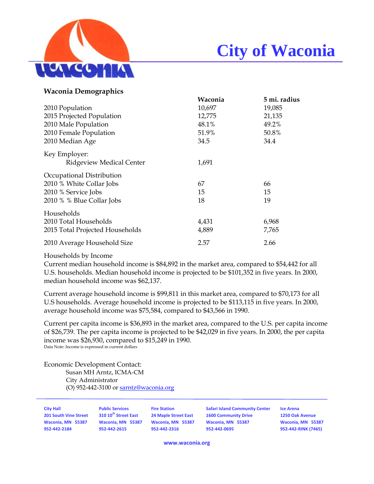

# **City of Waconia**

| Waconia | 5 mi. radius |
|---------|--------------|
| 10,697  | 19,085       |
| 12,775  | 21,135       |
| 48.1%   | 49.2%        |
| 51.9%   | 50.8%        |
| 34.5    | 34.4         |
|         |              |
| 1,691   |              |
|         |              |
| 67      | 66           |
| 15      | 15           |
| 18      | 19           |
|         |              |
| 4,431   | 6,968        |
| 4,889   | 7,765        |
| 2.57    | 2.66         |
|         |              |

### Households by Income

Current median household income is \$84,892 in the market area, compared to \$54,442 for all U.S. households. Median household income is projected to be \$101,352 in five years. In 2000, median household income was \$62,137.

Current average household income is \$99,811 in this market area, compared to \$70,173 for all U.S households. Average household income is projected to be \$113,115 in five years. In 2000, average household income was \$75,584, compared to \$43,566 in 1990.

Current per capita income is \$36,893 in the market area, compared to the U.S. per capita income of \$26,739. The per capita income is projected to be \$42,029 in five years. In 2000, the per capita income was \$26,930, compared to \$15,249 in 1990. Data Note: Income is expressed in current dollars

Economic Development Contact:

Susan MH Arntz, ICMA-CM City Administrator (O) 952-442-3100 or sarntz@waconia.org

| ity Hall                     |  |
|------------------------------|--|
| <b>01 South Vine Street!</b> |  |
| Vaconia. MN 55387            |  |
| 152-442-2184                 |  |

**City Hall Public Services Fire Station Safari Island Community Center Ice Arena** 201 South Vine Street 310 10<sup>th</sup> Street East 24 Maple Street East 1600 Community Drive 1250 Oak Avenue Waconia, MN 55387 Waconia, MN 55387 Waconia, MN 55387 Waconia, MN 55387 Waconia, MN 55387 952-442-2615 952-442-2615 952-442-2316 952-442-0695 952-442-0695 952-442-81NK (7465)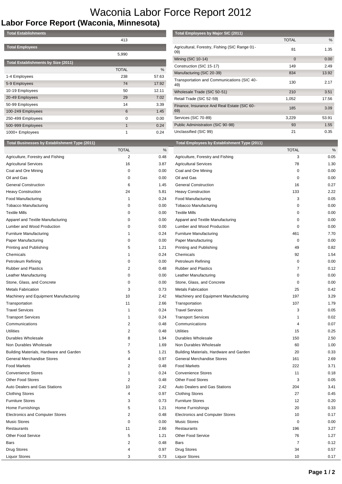## Waconia Labor Force Report 2012

## **Labor Force Report (Waconia, Minnesota)**

| <b>Total Establishments</b>                |              |       |
|--------------------------------------------|--------------|-------|
|                                            | 413          |       |
| <b>Total Employees</b>                     |              |       |
|                                            | 5,990        |       |
| <b>Total Establishments by Size (2011)</b> |              |       |
|                                            | <b>TOTAL</b> | %     |
| 1-4 Employees                              | 238          | 57.63 |
| 5-9 Employees                              | 74           | 17.92 |
| 10-19 Employees                            | 50           | 12.11 |
| 20-49 Employees                            | 29           | 7.02  |
| 50-99 Employees                            | 14           | 3.39  |
| 100-249 Employees                          | 6            | 1.45  |
| 250-499 Employees                          | 0            | 0.00  |
| 500-999 Employees                          | 1            | 0.24  |
| 1000+ Employees                            | 1            | 0.24  |

### **Total Employees by Major SIC (2011)**

|                                                       | <b>TOTAL</b> | %     |
|-------------------------------------------------------|--------------|-------|
| Agricultural, Forestry, Fishing (SIC Range 01-<br>09) | 81           | 1.35  |
| Mining (SIC 10-14)                                    | $\mathbf 0$  | 0.00  |
| Construction (SIC 15-17)                              | 149          | 2.49  |
| Manufacturing (SIC 20-39)                             | 834          | 13.92 |
| Transportation and Communications (SIC 40-<br>49)     | 130          | 2.17  |
| Wholesale Trade (SIC 50-51)                           | 210          | 3.51  |
| Retail Trade (SIC 52-59)                              | 1,052        | 17.56 |
| Finance, Insurance And Real Estate (SIC 60-<br>69)    | 185          | 3.09  |
| Services (SIC 70-89)                                  | 3,229        | 53.91 |
| Public Administration (SIC 90-98)                     | 93           | 1.55  |
| Unclassified (SIC 99)                                 | 21           | 0.35  |

#### **Total Businesses by Establishment Type (2011) Total Employees by Establishment Type (2011)**

|                                         | <b>TOTAL</b>            | %    |                                         | <b>TOTAL</b>   | %    |
|-----------------------------------------|-------------------------|------|-----------------------------------------|----------------|------|
| Agriculture, Forestry and Fishing       | 2                       | 0.48 | Agriculture, Forestry and Fishing       | 3              | 0.05 |
| <b>Agricultural Services</b>            | 16                      | 3.87 | <b>Agricultural Services</b>            | 78             | 1.30 |
| Coal and Ore Mining                     | 0                       | 0.00 | Coal and Ore Mining                     | 0              | 0.00 |
| Oil and Gas                             | 0                       | 0.00 | Oil and Gas                             | 0              | 0.00 |
| <b>General Construction</b>             | 6                       | 1.45 | <b>General Construction</b>             | 16             | 0.27 |
| <b>Heavy Construction</b>               | 24                      | 5.81 | <b>Heavy Construction</b>               | 133            | 2.22 |
| Food Manufacturing                      | 1                       | 0.24 | Food Manufacturing                      | 3              | 0.05 |
| <b>Tobacco Manufacturing</b>            | 0                       | 0.00 | <b>Tobacco Manufacturing</b>            | 0              | 0.00 |
| <b>Textile Mills</b>                    | 0                       | 0.00 | <b>Textile Mills</b>                    | 0              | 0.00 |
| Apparel and Textile Manufacturing       | 0                       | 0.00 | Apparel and Textile Manufacturing       | 0              | 0.00 |
| Lumber and Wood Production              | 0                       | 0.00 | Lumber and Wood Production              | 0              | 0.00 |
| <b>Furniture Manufacturing</b>          |                         | 0.24 | <b>Furniture Manufacturing</b>          | 461            | 7.70 |
| Paper Manufacturing                     | 0                       | 0.00 | Paper Manufacturing                     | $\mathbf 0$    | 0.00 |
| Printing and Publishing                 | 5                       | 1.21 | Printing and Publishing                 | 49             | 0.82 |
| Chemicals                               | 1                       | 0.24 | Chemicals                               | 92             | 1.54 |
| Petroleum Refining                      | 0                       | 0.00 | Petroleum Refining                      | $\mathbf 0$    | 0.00 |
| <b>Rubber and Plastics</b>              | 2                       | 0.48 | <b>Rubber and Plastics</b>              | 7              | 0.12 |
| Leather Manufacturing                   | 0                       | 0.00 | Leather Manufacturing                   | 0              | 0.00 |
| Stone, Glass, and Concrete              | 0                       | 0.00 | Stone, Glass, and Concrete              | 0              | 0.00 |
| <b>Metals Fabrication</b>               | 3                       | 0.73 | <b>Metals Fabrication</b>               | 25             | 0.42 |
| Machinery and Equipment Manufacturing   | 10                      | 2.42 | Machinery and Equipment Manufacturing   | 197            | 3.29 |
| Transportation                          | 11                      | 2.66 | Transportation                          | 107            | 1.79 |
| <b>Travel Services</b>                  | -1                      | 0.24 | <b>Travel Services</b>                  | 3              | 0.05 |
| <b>Transport Services</b>               | 1                       | 0.24 | <b>Transport Services</b>               | 1              | 0.02 |
| Communications                          | 2                       | 0.48 | Communications                          | 4              | 0.07 |
| Utilities                               | 2                       | 0.48 | Utilities                               | 15             | 0.25 |
| Durables Wholesale                      | 8                       | 1.94 | <b>Durables Wholesale</b>               | 150            | 2.50 |
| Non Durables Wholesale                  | 7                       | 1.69 | Non Durables Wholesale                  | 60             | 1.00 |
| Building Materials, Hardware and Garden | 5                       | 1.21 | Building Materials, Hardware and Garden | 20             | 0.33 |
| <b>General Merchandise Stores</b>       | 4                       | 0.97 | <b>General Merchandise Stores</b>       | 161            | 2.69 |
| <b>Food Markets</b>                     | 2                       | 0.48 | <b>Food Markets</b>                     | 222            | 3.71 |
| <b>Convenience Stores</b>               | $\overline{1}$          | 0.24 | <b>Convenience Stores</b>               | 11             | 0.18 |
| <b>Other Food Stores</b>                | 2                       | 0.48 | <b>Other Food Stores</b>                | 3              | 0.05 |
| Auto Dealers and Gas Stations           | 10                      | 2.42 | Auto Dealers and Gas Stations           | 204            | 3.41 |
| <b>Clothing Stores</b>                  | 4                       | 0.97 | <b>Clothing Stores</b>                  | 27             | 0.45 |
| <b>Furniture Stores</b>                 | 3                       | 0.73 | <b>Furniture Stores</b>                 | 12             | 0.20 |
| Home Furnishings                        | 5                       | 1.21 | Home Furnishings                        | 20             | 0.33 |
| <b>Electronics and Computer Stores</b>  | $\overline{\mathbf{c}}$ | 0.48 | <b>Electronics and Computer Stores</b>  | 10             | 0.17 |
| <b>Music Stores</b>                     | 0                       | 0.00 | <b>Music Stores</b>                     | 0              | 0.00 |
| <b>Restaurants</b>                      | 11                      | 2.66 | Restaurants                             | 196            | 3.27 |
| Other Food Service                      | 5                       | 1.21 | Other Food Service                      | 76             | 1.27 |
| Bars                                    | 2                       | 0.48 | Bars                                    | $\overline{7}$ | 0.12 |
| Drug Stores                             | 4                       | 0.97 | Drug Stores                             | 34             | 0.57 |
| <b>Liquor Stores</b>                    | 3                       | 0.73 | <b>Liquor Stores</b>                    | 10             | 0.17 |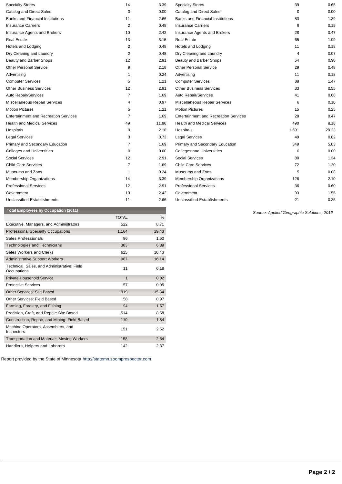| <b>Total Employees by Occupation (2011)</b>  |                |       |                                              | Source: Applied Geographic Solutions, 2012 |       |
|----------------------------------------------|----------------|-------|----------------------------------------------|--------------------------------------------|-------|
| <b>Unclassified Establishments</b>           | 11             | 2.66  | <b>Unclassified Establishments</b>           | 21                                         | 0.35  |
| Government                                   | 10             | 2.42  | Government                                   | 93                                         | 1.55  |
| <b>Professional Services</b>                 | 12             | 2.91  | <b>Professional Services</b>                 | 36                                         | 0.60  |
| <b>Membership Organizations</b>              | 14             | 3.39  | Membership Organizations                     | 126                                        | 2.10  |
| Museums and Zoos                             | $\overline{1}$ | 0.24  | Museums and Zoos                             | 5                                          | 0.08  |
| <b>Child Care Services</b>                   | $\overline{7}$ | 1.69  | <b>Child Care Services</b>                   | 72                                         | 1.20  |
| Social Services                              | 12             | 2.91  | Social Services                              | 80                                         | 1.34  |
| <b>Colleges and Universities</b>             | 0              | 0.00  | <b>Colleges and Universities</b>             | $\mathbf 0$                                | 0.00  |
| Primary and Secondary Education              | $\overline{7}$ | 1.69  | Primary and Secondary Education              | 349                                        | 5.83  |
| <b>Legal Services</b>                        | 3              | 0.73  | <b>Legal Services</b>                        | 49                                         | 0.82  |
| Hospitals                                    | 9              | 2.18  | Hospitals                                    | 1,691                                      | 28.23 |
| <b>Health and Medical Services</b>           | 49             | 11.86 | <b>Health and Medical Services</b>           | 490                                        | 8.18  |
| <b>Entertainment and Recreation Services</b> | $\overline{7}$ | 1.69  | <b>Entertainment and Recreation Services</b> | 28                                         | 0.47  |
| <b>Motion Pictures</b>                       | 5              | 1.21  | <b>Motion Pictures</b>                       | 15                                         | 0.25  |
| Miscellaneous Repair Services                | 4              | 0.97  | Miscellaneous Repair Services                | 6                                          | 0.10  |
| Auto Repair/Services                         | 7              | 1.69  | Auto Repair/Services                         | 41                                         | 0.68  |
| <b>Other Business Services</b>               | 12             | 2.91  | <b>Other Business Services</b>               | 33                                         | 0.55  |
| <b>Computer Services</b>                     | 5              | 1.21  | <b>Computer Services</b>                     | 88                                         | 1.47  |
| Advertising                                  | 1              | 0.24  | Advertising                                  | 11                                         | 0.18  |
| <b>Other Personal Service</b>                | 9              | 2.18  | <b>Other Personal Service</b>                | 29                                         | 0.48  |
| Beauty and Barber Shops                      | 12             | 2.91  | Beauty and Barber Shops                      | 54                                         | 0.90  |
| Dry Cleaning and Laundry                     | $\overline{2}$ | 0.48  | Dry Cleaning and Laundry                     | 4                                          | 0.07  |
| Hotels and Lodging                           | $\overline{2}$ | 0.48  | Hotels and Lodging                           | 11                                         | 0.18  |
| <b>Real Estate</b>                           | 13             | 3.15  | <b>Real Estate</b>                           | 65                                         | 1.09  |
| Insurance Agents and Brokers                 | 10             | 2.42  | Insurance Agents and Brokers                 | 28                                         | 0.47  |
| <b>Insurance Carriers</b>                    | $\overline{2}$ | 0.48  | <b>Insurance Carriers</b>                    | 9                                          | 0.15  |
| <b>Banks and Financial Institutions</b>      | 11             | 2.66  | <b>Banks and Financial Institutions</b>      | 83                                         | 1.39  |
| Catalog and Direct Sales                     | $\mathbf 0$    | 0.00  | <b>Catalog and Direct Sales</b>              | $\mathbf 0$                                | 0.00  |
| <b>Specialty Stores</b>                      | 14             | 3.39  | <b>Specialty Stores</b>                      | 39                                         | 0.65  |

|                                                            | <b>TOTAL</b> | $\%$  |
|------------------------------------------------------------|--------------|-------|
| Executive, Managers, and Administrators                    | 522          | 8.71  |
| <b>Professional Specialty Occupations</b>                  | 1,164        | 19.43 |
| Sales Professionals                                        | 96           | 1.60  |
| <b>Technologies and Technicians</b>                        | 383          | 6.39  |
| Sales Workers and Clerks                                   | 625          | 10.43 |
| <b>Administrative Support Workers</b>                      | 967          | 16.14 |
| Technical, Sales, and Administrative: Field<br>Occupations | 11           | 0.18  |
| Private Household Service                                  | 1            | 0.02  |
| <b>Protective Services</b>                                 | 57           | 0.95  |
| <b>Other Services: Site Based</b>                          | 919          | 15.34 |
| Other Services: Field Based                                | 58           | 0.97  |
| Farming, Forestry, and Fishing                             | 94           | 1.57  |
| Precision, Craft, and Repair: Site Based                   | 514          | 8.58  |
| Construction, Repair, and Mining: Field Based              | 110          | 1.84  |
| Machine Operators, Assemblers, and<br>Inspectors           | 151          | 2.52  |
| <b>Transportation and Materials Moving Workers</b>         | 158          | 2.64  |
| Handlers, Helpers and Laborers                             | 142          | 2.37  |

Report provided by the State of Minnesota [http://statemn.zoomprospector.com](http://statemn.zoomprospector.com/)

Geographic Solutions, 2012